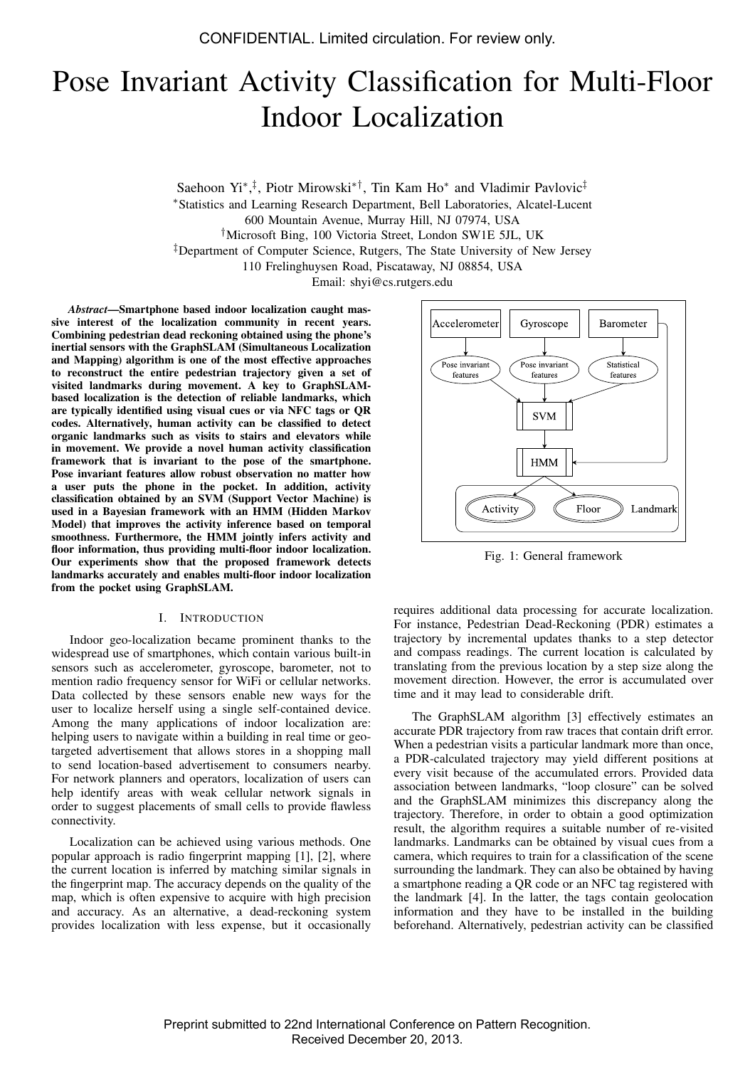# Pose Invariant Activity Classification for Multi-Floor Indoor Localization

Saehoon Yi<sup>∗</sup>,<sup>‡</sup>, Piotr Mirowski<sup>∗†</sup>, Tin Kam Ho<sup>∗</sup> and Vladimir Pavlovic<sup>‡</sup> <sup>∗</sup>Statistics and Learning Research Department, Bell Laboratories, Alcatel-Lucent 600 Mountain Avenue, Murray Hill, NJ 07974, USA †Microsoft Bing, 100 Victoria Street, London SW1E 5JL, UK ‡Department of Computer Science, Rutgers, The State University of New Jersey 110 Frelinghuysen Road, Piscataway, NJ 08854, USA Email: shyi@cs.rutgers.edu

*Abstract*—Smartphone based indoor localization caught massive interest of the localization community in recent years. Combining pedestrian dead reckoning obtained using the phone's inertial sensors with the GraphSLAM (Simultaneous Localization and Mapping) algorithm is one of the most effective approaches to reconstruct the entire pedestrian trajectory given a set of visited landmarks during movement. A key to GraphSLAMbased localization is the detection of reliable landmarks, which are typically identified using visual cues or via NFC tags or QR codes. Alternatively, human activity can be classified to detect organic landmarks such as visits to stairs and elevators while in movement. We provide a novel human activity classification framework that is invariant to the pose of the smartphone. Pose invariant features allow robust observation no matter how a user puts the phone in the pocket. In addition, activity classification obtained by an SVM (Support Vector Machine) is used in a Bayesian framework with an HMM (Hidden Markov Model) that improves the activity inference based on temporal smoothness. Furthermore, the HMM jointly infers activity and floor information, thus providing multi-floor indoor localization. Our experiments show that the proposed framework detects landmarks accurately and enables multi-floor indoor localization from the pocket using GraphSLAM.

# I. INTRODUCTION

Indoor geo-localization became prominent thanks to the widespread use of smartphones, which contain various built-in sensors such as accelerometer, gyroscope, barometer, not to mention radio frequency sensor for WiFi or cellular networks. Data collected by these sensors enable new ways for the user to localize herself using a single self-contained device. Among the many applications of indoor localization are: helping users to navigate within a building in real time or geotargeted advertisement that allows stores in a shopping mall to send location-based advertisement to consumers nearby. For network planners and operators, localization of users can help identify areas with weak cellular network signals in order to suggest placements of small cells to provide flawless connectivity.

Localization can be achieved using various methods. One popular approach is radio fingerprint mapping [1], [2], where the current location is inferred by matching similar signals in the fingerprint map. The accuracy depends on the quality of the map, which is often expensive to acquire with high precision and accuracy. As an alternative, a dead-reckoning system provides localization with less expense, but it occasionally



Fig. 1: General framework

requires additional data processing for accurate localization. For instance, Pedestrian Dead-Reckoning (PDR) estimates a trajectory by incremental updates thanks to a step detector and compass readings. The current location is calculated by translating from the previous location by a step size along the movement direction. However, the error is accumulated over time and it may lead to considerable drift.

The GraphSLAM algorithm [3] effectively estimates an accurate PDR trajectory from raw traces that contain drift error. When a pedestrian visits a particular landmark more than once, a PDR-calculated trajectory may yield different positions at every visit because of the accumulated errors. Provided data association between landmarks, "loop closure" can be solved and the GraphSLAM minimizes this discrepancy along the trajectory. Therefore, in order to obtain a good optimization result, the algorithm requires a suitable number of re-visited landmarks. Landmarks can be obtained by visual cues from a camera, which requires to train for a classification of the scene surrounding the landmark. They can also be obtained by having a smartphone reading a QR code or an NFC tag registered with the landmark [4]. In the latter, the tags contain geolocation information and they have to be installed in the building beforehand. Alternatively, pedestrian activity can be classified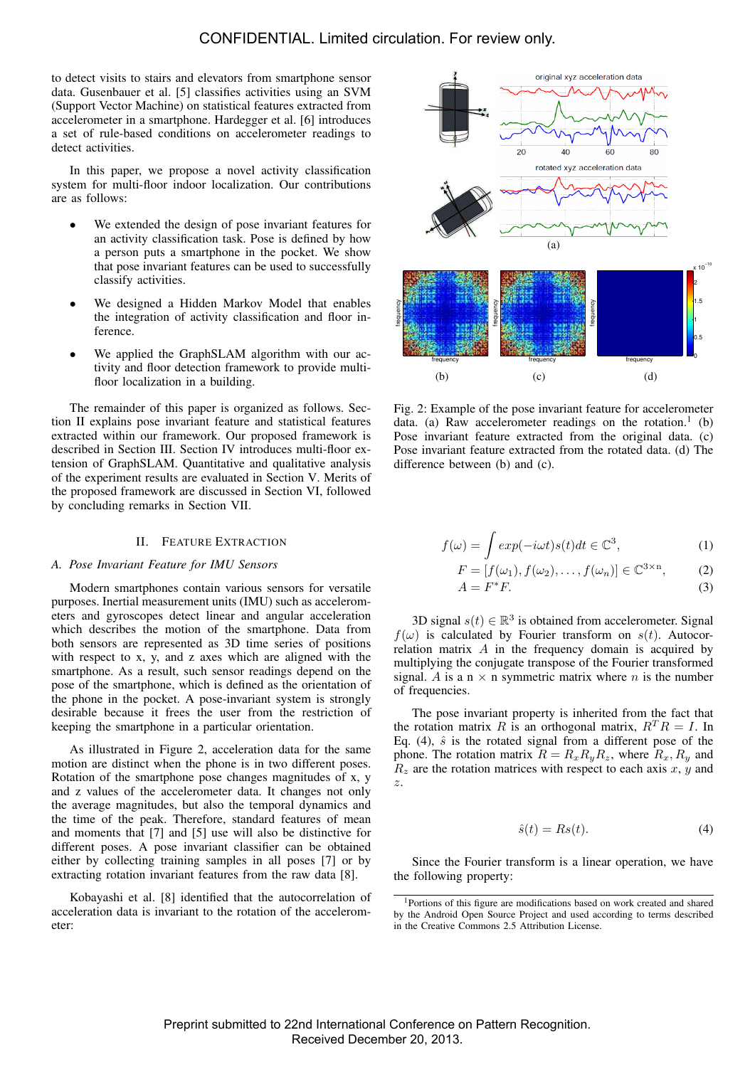to detect visits to stairs and elevators from smartphone sensor data. Gusenbauer et al. [5] classifies activities using an SVM (Support Vector Machine) on statistical features extracted from accelerometer in a smartphone. Hardegger et al. [6] introduces a set of rule-based conditions on accelerometer readings to detect activities.

In this paper, we propose a novel activity classification system for multi-floor indoor localization. Our contributions are as follows:

- We extended the design of pose invariant features for an activity classification task. Pose is defined by how a person puts a smartphone in the pocket. We show that pose invariant features can be used to successfully classify activities.
- We designed a Hidden Markov Model that enables the integration of activity classification and floor inference.
- We applied the GraphSLAM algorithm with our activity and floor detection framework to provide multifloor localization in a building.

The remainder of this paper is organized as follows. Section II explains pose invariant feature and statistical features extracted within our framework. Our proposed framework is described in Section III. Section IV introduces multi-floor extension of GraphSLAM. Quantitative and qualitative analysis of the experiment results are evaluated in Section V. Merits of the proposed framework are discussed in Section VI, followed by concluding remarks in Section VII.

# II. FEATURE EXTRACTION

# *A. Pose Invariant Feature for IMU Sensors*

Modern smartphones contain various sensors for versatile purposes. Inertial measurement units (IMU) such as accelerometers and gyroscopes detect linear and angular acceleration which describes the motion of the smartphone. Data from both sensors are represented as 3D time series of positions with respect to x, y, and z axes which are aligned with the smartphone. As a result, such sensor readings depend on the pose of the smartphone, which is defined as the orientation of the phone in the pocket. A pose-invariant system is strongly desirable because it frees the user from the restriction of keeping the smartphone in a particular orientation.

As illustrated in Figure 2, acceleration data for the same motion are distinct when the phone is in two different poses. Rotation of the smartphone pose changes magnitudes of x, y and z values of the accelerometer data. It changes not only the average magnitudes, but also the temporal dynamics and the time of the peak. Therefore, standard features of mean and moments that [7] and [5] use will also be distinctive for different poses. A pose invariant classifier can be obtained either by collecting training samples in all poses [7] or by extracting rotation invariant features from the raw data [8].

Kobayashi et al. [8] identified that the autocorrelation of acceleration data is invariant to the rotation of the accelerometer:



Fig. 2: Example of the pose invariant feature for accelerometer data. (a) Raw accelerometer readings on the rotation.<sup>1</sup> (b) Pose invariant feature extracted from the original data. (c) Pose invariant feature extracted from the rotated data. (d) The difference between (b) and (c).

$$
f(\omega) = \int exp(-i\omega t)s(t)dt \in \mathbb{C}^3,
$$
 (1)

$$
F = [f(\omega_1), f(\omega_2), \dots, f(\omega_n)] \in \mathbb{C}^{3 \times n}, \tag{2}
$$

$$
A = F^*F.
$$
 (3)

3D signal  $s(t) \in \mathbb{R}^3$  is obtained from accelerometer. Signal  $f(\omega)$  is calculated by Fourier transform on  $s(t)$ . Autocorrelation matrix  $A$  in the frequency domain is acquired by multiplying the conjugate transpose of the Fourier transformed signal. A is a  $n \times n$  symmetric matrix where n is the number of frequencies.

The pose invariant property is inherited from the fact that the rotation matrix R is an orthogonal matrix,  $R^T R = I$ . In Eq. (4),  $\hat{s}$  is the rotated signal from a different pose of the phone. The rotation matrix  $R = R_x R_y R_z$ , where  $R_x, R_y$  and  $R_z$  are the rotation matrices with respect to each axis x, y and z.

$$
\hat{s}(t) = Rs(t). \tag{4}
$$

Since the Fourier transform is a linear operation, we have the following property:

<sup>1</sup>Portions of this figure are modifications based on work created and shared by the Android Open Source Project and used according to terms described in the Creative Commons 2.5 Attribution License.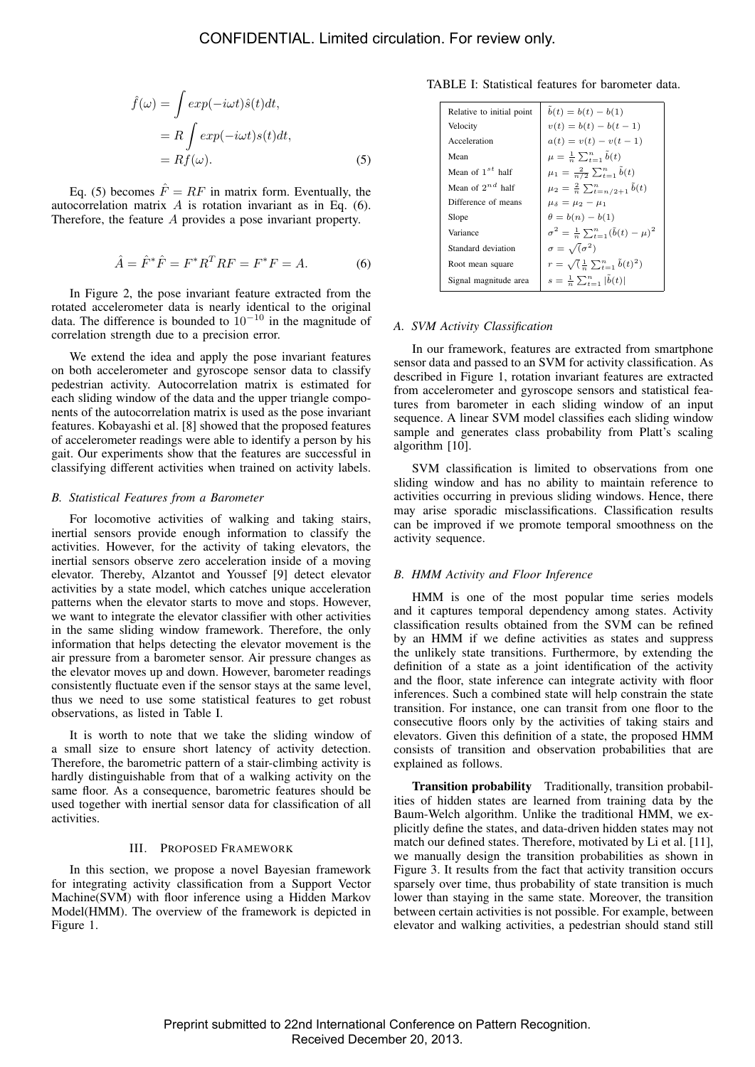$$
\hat{f}(\omega) = \int exp(-i\omega t)\hat{s}(t)dt,
$$
  
=  $R \int exp(-i\omega t)s(t)dt,$   
=  $Rf(\omega).$  (5)

Eq. (5) becomes  $\hat{F} = RF$  in matrix form. Eventually, the autocorrelation matrix  $A$  is rotation invariant as in Eq. (6). Therefore, the feature A provides a pose invariant property.

$$
\hat{A} = \hat{F}^* \hat{F} = F^* R^T R F = F^* F = A.
$$
 (6)

In Figure 2, the pose invariant feature extracted from the rotated accelerometer data is nearly identical to the original data. The difference is bounded to  $10^{-10}$  in the magnitude of correlation strength due to a precision error.

We extend the idea and apply the pose invariant features on both accelerometer and gyroscope sensor data to classify pedestrian activity. Autocorrelation matrix is estimated for each sliding window of the data and the upper triangle components of the autocorrelation matrix is used as the pose invariant features. Kobayashi et al. [8] showed that the proposed features of accelerometer readings were able to identify a person by his gait. Our experiments show that the features are successful in classifying different activities when trained on activity labels.

# *B. Statistical Features from a Barometer*

For locomotive activities of walking and taking stairs, inertial sensors provide enough information to classify the activities. However, for the activity of taking elevators, the inertial sensors observe zero acceleration inside of a moving elevator. Thereby, Alzantot and Youssef [9] detect elevator activities by a state model, which catches unique acceleration patterns when the elevator starts to move and stops. However, we want to integrate the elevator classifier with other activities in the same sliding window framework. Therefore, the only information that helps detecting the elevator movement is the air pressure from a barometer sensor. Air pressure changes as the elevator moves up and down. However, barometer readings consistently fluctuate even if the sensor stays at the same level, thus we need to use some statistical features to get robust observations, as listed in Table I.

It is worth to note that we take the sliding window of a small size to ensure short latency of activity detection. Therefore, the barometric pattern of a stair-climbing activity is hardly distinguishable from that of a walking activity on the same floor. As a consequence, barometric features should be used together with inertial sensor data for classification of all activities.

## III. PROPOSED FRAMEWORK

In this section, we propose a novel Bayesian framework for integrating activity classification from a Support Vector Machine(SVM) with floor inference using a Hidden Markov Model(HMM). The overview of the framework is depicted in Figure 1.

TABLE I: Statistical features for barometer data.

| Relative to initial point | $b(t) = b(t) - b(1)$                                         |
|---------------------------|--------------------------------------------------------------|
| Velocity                  | $v(t) = b(t) - b(t-1)$                                       |
| Acceleration              | $a(t) = v(t) - v(t-1)$                                       |
| Mean                      | $\mu = \frac{1}{n} \sum_{t=1}^{n} b(t)$                      |
| Mean of $1^{st}$ half     | $\mu_1 = \frac{2}{n/2} \sum_{t=1}^n b(t)$                    |
| Mean of $2^{nd}$ half     | $\mu_2 = \frac{2}{n} \sum_{t=n/2+1}^{n} b(t)$                |
| Difference of means       | $\mu_{\delta} = \mu_2 - \mu_1$                               |
| Slope                     | $\theta = b(n) - b(1)$                                       |
| Variance                  | $\sigma^2 = \frac{1}{n} \sum_{t=1}^n (\tilde{b}(t) - \mu)^2$ |
| Standard deviation        | $\sigma = \sqrt{(\sigma^2)}$                                 |
| Root mean square          | $r = \sqrt{\frac{1}{n} \sum_{t=1}^{n} \tilde{b}(t)^2}$       |
| Signal magnitude area     | $s = \frac{1}{n} \sum_{t=1}^{n}  b(t) $                      |

# *A. SVM Activity Classification*

In our framework, features are extracted from smartphone sensor data and passed to an SVM for activity classification. As described in Figure 1, rotation invariant features are extracted from accelerometer and gyroscope sensors and statistical features from barometer in each sliding window of an input sequence. A linear SVM model classifies each sliding window sample and generates class probability from Platt's scaling algorithm [10].

SVM classification is limited to observations from one sliding window and has no ability to maintain reference to activities occurring in previous sliding windows. Hence, there may arise sporadic misclassifications. Classification results can be improved if we promote temporal smoothness on the activity sequence.

# *B. HMM Activity and Floor Inference*

HMM is one of the most popular time series models and it captures temporal dependency among states. Activity classification results obtained from the SVM can be refined by an HMM if we define activities as states and suppress the unlikely state transitions. Furthermore, by extending the definition of a state as a joint identification of the activity and the floor, state inference can integrate activity with floor inferences. Such a combined state will help constrain the state transition. For instance, one can transit from one floor to the consecutive floors only by the activities of taking stairs and elevators. Given this definition of a state, the proposed HMM consists of transition and observation probabilities that are explained as follows.

Transition probability Traditionally, transition probabilities of hidden states are learned from training data by the Baum-Welch algorithm. Unlike the traditional HMM, we explicitly define the states, and data-driven hidden states may not match our defined states. Therefore, motivated by Li et al. [11], we manually design the transition probabilities as shown in Figure 3. It results from the fact that activity transition occurs sparsely over time, thus probability of state transition is much lower than staying in the same state. Moreover, the transition between certain activities is not possible. For example, between elevator and walking activities, a pedestrian should stand still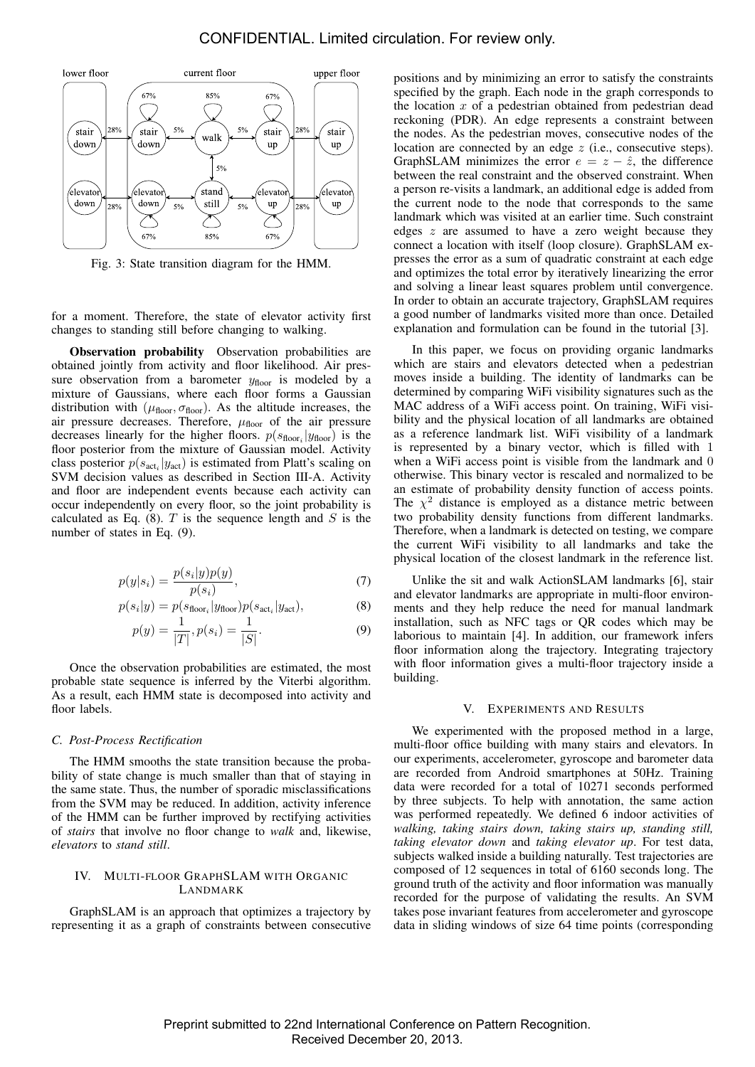

Fig. 3: State transition diagram for the HMM.

for a moment. Therefore, the state of elevator activity first changes to standing still before changing to walking.

Observation probability Observation probabilities are obtained jointly from activity and floor likelihood. Air pressure observation from a barometer  $y_{floor}$  is modeled by a mixture of Gaussians, where each floor forms a Gaussian distribution with  $(\mu_{floor}, \sigma_{floor})$ . As the altitude increases, the air pressure decreases. Therefore,  $\mu_{floor}$  of the air pressure decreases linearly for the higher floors.  $p(s_{floor_i}|y_{floor})$  is the floor posterior from the mixture of Gaussian model. Activity class posterior  $p(s_{\text{act}_i}|y_{\text{act}})$  is estimated from Platt's scaling on SVM decision values as described in Section III-A. Activity and floor are independent events because each activity can occur independently on every floor, so the joint probability is calculated as Eq. (8).  $T$  is the sequence length and  $S$  is the number of states in Eq. (9).

$$
p(y|s_i) = \frac{p(s_i|y)p(y)}{p(s_i)},\tag{7}
$$

$$
p(s_i|y) = p(s_{\text{floor}_i}|y_{\text{floor}})p(s_{\text{act}_i}|y_{\text{act}}),
$$
\n(8)

$$
p(y) = \frac{1}{|T|}, p(s_i) = \frac{1}{|S|}.
$$
 (9)

Once the observation probabilities are estimated, the most probable state sequence is inferred by the Viterbi algorithm. As a result, each HMM state is decomposed into activity and floor labels.

#### *C. Post-Process Rectification*

The HMM smooths the state transition because the probability of state change is much smaller than that of staying in the same state. Thus, the number of sporadic misclassifications from the SVM may be reduced. In addition, activity inference of the HMM can be further improved by rectifying activities of *stairs* that involve no floor change to *walk* and, likewise, *elevators* to *stand still*.

# IV. MULTI-FLOOR GRAPHSLAM WITH ORGANIC LANDMARK

GraphSLAM is an approach that optimizes a trajectory by representing it as a graph of constraints between consecutive positions and by minimizing an error to satisfy the constraints specified by the graph. Each node in the graph corresponds to the location  $x$  of a pedestrian obtained from pedestrian dead reckoning (PDR). An edge represents a constraint between the nodes. As the pedestrian moves, consecutive nodes of the location are connected by an edge z (i.e., consecutive steps). GraphSLAM minimizes the error  $e = z - \hat{z}$ , the difference between the real constraint and the observed constraint. When a person re-visits a landmark, an additional edge is added from the current node to the node that corresponds to the same landmark which was visited at an earlier time. Such constraint edges z are assumed to have a zero weight because they connect a location with itself (loop closure). GraphSLAM expresses the error as a sum of quadratic constraint at each edge and optimizes the total error by iteratively linearizing the error and solving a linear least squares problem until convergence. In order to obtain an accurate trajectory, GraphSLAM requires a good number of landmarks visited more than once. Detailed explanation and formulation can be found in the tutorial [3].

In this paper, we focus on providing organic landmarks which are stairs and elevators detected when a pedestrian moves inside a building. The identity of landmarks can be determined by comparing WiFi visibility signatures such as the MAC address of a WiFi access point. On training, WiFi visibility and the physical location of all landmarks are obtained as a reference landmark list. WiFi visibility of a landmark is represented by a binary vector, which is filled with 1 when a WiFi access point is visible from the landmark and 0 otherwise. This binary vector is rescaled and normalized to be an estimate of probability density function of access points. The  $\chi^2$  distance is employed as a distance metric between two probability density functions from different landmarks. Therefore, when a landmark is detected on testing, we compare the current WiFi visibility to all landmarks and take the physical location of the closest landmark in the reference list.

Unlike the sit and walk ActionSLAM landmarks [6], stair and elevator landmarks are appropriate in multi-floor environments and they help reduce the need for manual landmark installation, such as NFC tags or QR codes which may be laborious to maintain [4]. In addition, our framework infers floor information along the trajectory. Integrating trajectory with floor information gives a multi-floor trajectory inside a building.

# V. EXPERIMENTS AND RESULTS

We experimented with the proposed method in a large, multi-floor office building with many stairs and elevators. In our experiments, accelerometer, gyroscope and barometer data are recorded from Android smartphones at 50Hz. Training data were recorded for a total of 10271 seconds performed by three subjects. To help with annotation, the same action was performed repeatedly. We defined 6 indoor activities of *walking, taking stairs down, taking stairs up, standing still, taking elevator down* and *taking elevator up*. For test data, subjects walked inside a building naturally. Test trajectories are composed of 12 sequences in total of 6160 seconds long. The ground truth of the activity and floor information was manually recorded for the purpose of validating the results. An SVM takes pose invariant features from accelerometer and gyroscope data in sliding windows of size 64 time points (corresponding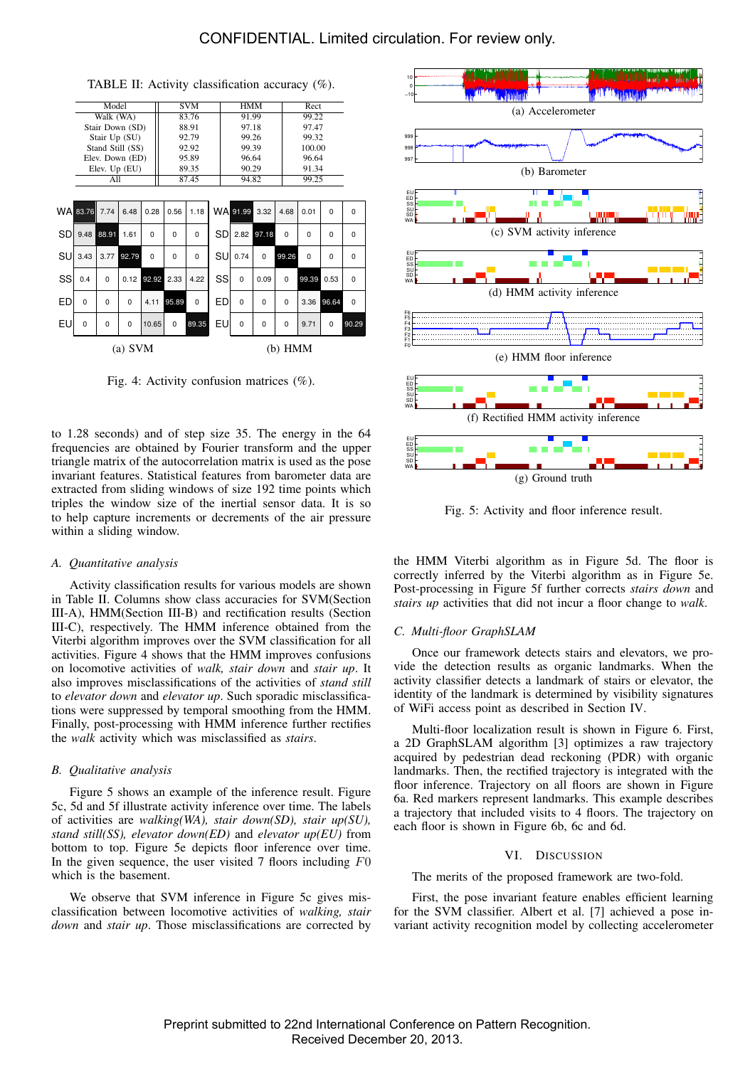CONFIDENTIAL. Limited circulation. For review only.

|           | Model            |          |          |       | <b>SVM</b>  |       |       | <b>HMM</b> |             |          |          | Rect     |          |          |
|-----------|------------------|----------|----------|-------|-------------|-------|-------|------------|-------------|----------|----------|----------|----------|----------|
|           | Walk (WA)        |          |          |       | 83.76       |       | 91.99 |            |             |          | 99.22    |          |          |          |
|           | Stair Down (SD)  |          |          |       | 88.91       |       | 97.18 |            |             |          | 97.47    |          |          |          |
|           | Stair Up (SU)    |          |          |       | 92.79       |       |       | 99.26      |             |          |          | 99.32    |          |          |
|           | Stand Still (SS) |          |          |       | 92.92       |       |       | 99.39      |             |          |          | 100.00   |          |          |
|           | Elev. Down (ED)  |          |          |       | 95.89       |       |       | 96.64      |             |          |          | 96.64    |          |          |
|           | Elev. Up (EU)    |          |          |       | 89.35       |       |       | 90.29      |             |          |          | 91.34    |          |          |
|           | All              |          |          |       | 87.45       |       |       | 94.82      |             |          |          | 99.25    |          |          |
|           |                  |          |          |       |             |       |       |            |             |          |          |          |          |          |
|           |                  |          |          |       |             |       |       |            |             |          |          |          |          |          |
|           | WA 83.76         | 7.74     | 6.48     | 0.28  | 0.56        | 1.18  |       |            | WA 91.99    | 3.32     | 4.68     | 0.01     | $\Omega$ | $\Omega$ |
| SD        | 9.48             | 88.91    | 1.61     | 0     | 0           | 0     |       | SD         | 2.82        | 97.18    | 0        | 0        | 0        | 0        |
| SU        | 3.43             | 3.77     | 92.79    | 0     | $\mathbf 0$ | 0     |       | SU         | 0.74        | 0        | 99.26    | $\Omega$ | 0        | 0        |
| SS        | 0.4              | $\Omega$ | 0.12     | 92.92 | 2.33        | 4.22  |       | SS         | $\Omega$    | 0.09     | $\Omega$ | 99.39    | 0.53     | $\Omega$ |
| ED        | $\Omega$         | $\Omega$ | $\Omega$ | 4.11  | 95.89       | 0     |       | ED         | $\mathbf 0$ | $\Omega$ | $\Omega$ | 3.36     | 96.64    | $\Omega$ |
| EU        | 0                | 0        | 0        | 10.65 | $\mathbf 0$ | 89.35 |       | EU         | 0           | 0        | 0        | 9.71     | 0        | 90.29    |
| $(a)$ SVM |                  |          |          |       |             |       |       | $(b)$ HMM  |             |          |          |          |          |          |

TABLE II: Activity classification accuracy (%).

Fig. 4: Activity confusion matrices (%).

to 1.28 seconds) and of step size 35. The energy in the 64 frequencies are obtained by Fourier transform and the upper triangle matrix of the autocorrelation matrix is used as the pose invariant features. Statistical features from barometer data are extracted from sliding windows of size 192 time points which triples the window size of the inertial sensor data. It is so to help capture increments or decrements of the air pressure within a sliding window.

# *A. Quantitative analysis*

Activity classification results for various models are shown in Table II. Columns show class accuracies for SVM(Section III-A), HMM(Section III-B) and rectification results (Section III-C), respectively. The HMM inference obtained from the Viterbi algorithm improves over the SVM classification for all activities. Figure 4 shows that the HMM improves confusions on locomotive activities of *walk, stair down* and *stair up*. It also improves misclassifications of the activities of *stand still* to *elevator down* and *elevator up*. Such sporadic misclassifications were suppressed by temporal smoothing from the HMM. Finally, post-processing with HMM inference further rectifies the *walk* activity which was misclassified as *stairs*.

# *B. Qualitative analysis*

Figure 5 shows an example of the inference result. Figure 5c, 5d and 5f illustrate activity inference over time. The labels of activities are *walking(WA), stair down(SD), stair up(SU), stand still(SS), elevator down(ED)* and *elevator up(EU)* from bottom to top. Figure 5e depicts floor inference over time. In the given sequence, the user visited  $7$  floors including  $F0$ which is the basement.

We observe that SVM inference in Figure 5c gives misclassification between locomotive activities of *walking, stair down* and *stair up*. Those misclassifications are corrected by



Fig. 5: Activity and floor inference result.

the HMM Viterbi algorithm as in Figure 5d. The floor is correctly inferred by the Viterbi algorithm as in Figure 5e. Post-processing in Figure 5f further corrects *stairs down* and *stairs up* activities that did not incur a floor change to *walk*.

#### *C. Multi-floor GraphSLAM*

Once our framework detects stairs and elevators, we provide the detection results as organic landmarks. When the activity classifier detects a landmark of stairs or elevator, the identity of the landmark is determined by visibility signatures of WiFi access point as described in Section IV.

Multi-floor localization result is shown in Figure 6. First, a 2D GraphSLAM algorithm [3] optimizes a raw trajectory acquired by pedestrian dead reckoning (PDR) with organic landmarks. Then, the rectified trajectory is integrated with the floor inference. Trajectory on all floors are shown in Figure 6a. Red markers represent landmarks. This example describes a trajectory that included visits to 4 floors. The trajectory on each floor is shown in Figure 6b, 6c and 6d.

# VI. DISCUSSION

The merits of the proposed framework are two-fold.

First, the pose invariant feature enables efficient learning for the SVM classifier. Albert et al. [7] achieved a pose invariant activity recognition model by collecting accelerometer